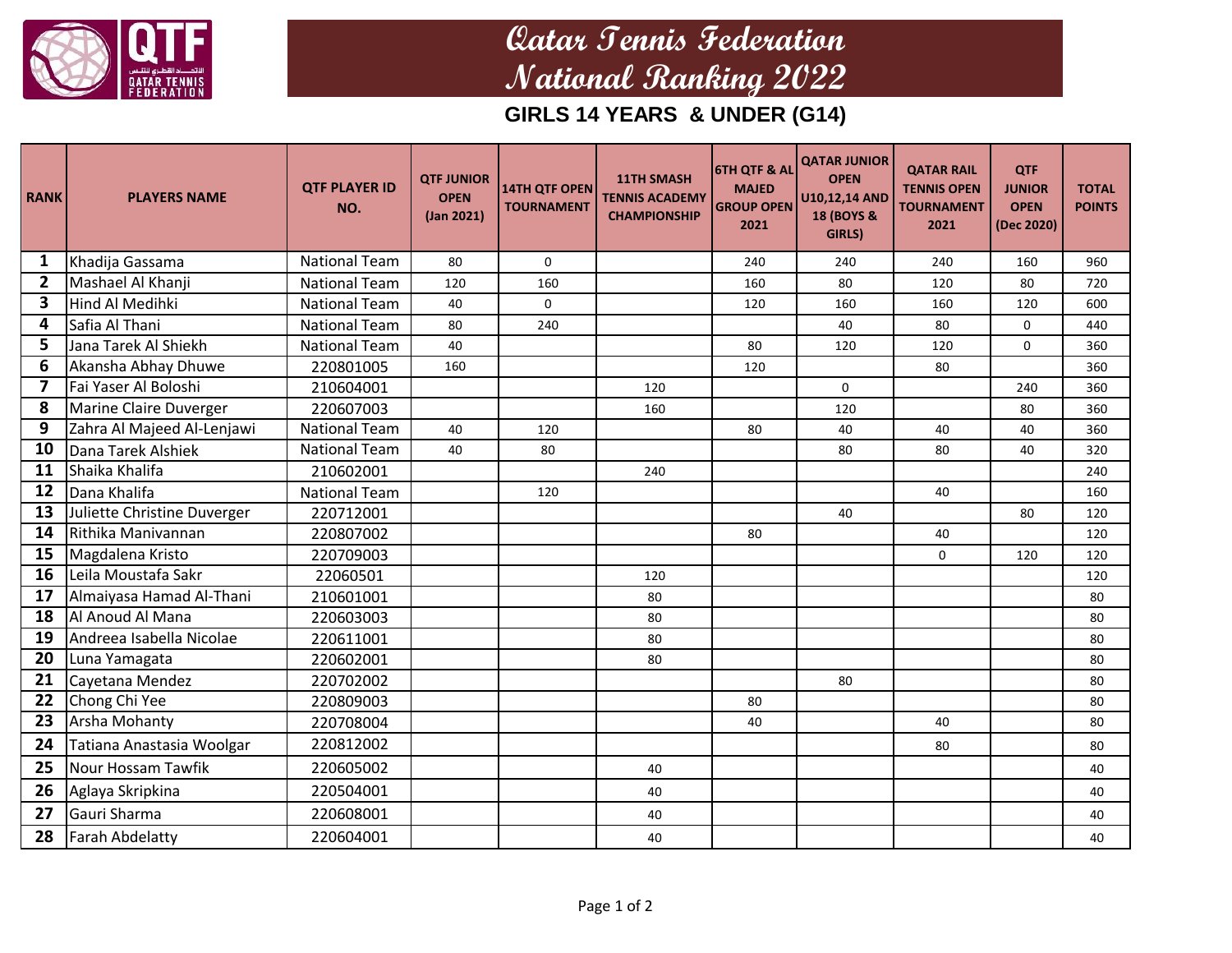

## **Qatar Tennis Federation National Ranking 2022**

## **GIRLS 14 YEARS & UNDER (G14)**

| <b>RANK</b>    | <b>PLAYERS NAME</b>         | <b>QTF PLAYER ID</b><br>NO. | <b>QTF JUNIOR</b><br><b>OPEN</b><br>(Jan 2021) | <b>14TH QTF OPEN</b><br><b>TOURNAMENT</b> | <b>11TH SMASH</b><br><b>TENNIS ACADEMY</b><br><b>CHAMPIONSHIP</b> | <b>6TH QTF &amp; AL</b><br><b>MAJED</b><br><b>GROUP OPEN</b><br>2021 | <b>QATAR JUNIOR</b><br><b>OPEN</b><br>U10,12,14 AND<br>18 (BOYS &<br>GIRLS) | <b>QATAR RAIL</b><br><b>TENNIS OPEN</b><br><b>TOURNAMENT</b><br>2021 | <b>QTF</b><br><b>JUNIOR</b><br><b>OPEN</b><br>(Dec 2020) | <b>TOTAL</b><br><b>POINTS</b> |
|----------------|-----------------------------|-----------------------------|------------------------------------------------|-------------------------------------------|-------------------------------------------------------------------|----------------------------------------------------------------------|-----------------------------------------------------------------------------|----------------------------------------------------------------------|----------------------------------------------------------|-------------------------------|
| 1              | Khadija Gassama             | <b>National Team</b>        | 80                                             | 0                                         |                                                                   | 240                                                                  | 240                                                                         | 240                                                                  | 160                                                      | 960                           |
| 2              | Mashael Al Khanji           | <b>National Team</b>        | 120                                            | 160                                       |                                                                   | 160                                                                  | 80                                                                          | 120                                                                  | 80                                                       | 720                           |
| 3              | Hind Al Medihki             | <b>National Team</b>        | 40                                             | $\Omega$                                  |                                                                   | 120                                                                  | 160                                                                         | 160                                                                  | 120                                                      | 600                           |
| 4              | Safia Al Thani              | <b>National Team</b>        | 80                                             | 240                                       |                                                                   |                                                                      | 40                                                                          | 80                                                                   | 0                                                        | 440                           |
| 5              | Jana Tarek Al Shiekh        | <b>National Team</b>        | 40                                             |                                           |                                                                   | 80                                                                   | 120                                                                         | 120                                                                  | $\Omega$                                                 | 360                           |
| 6              | Akansha Abhay Dhuwe         | 220801005                   | 160                                            |                                           |                                                                   | 120                                                                  |                                                                             | 80                                                                   |                                                          | 360                           |
| $\overline{7}$ | Fai Yaser Al Boloshi        | 210604001                   |                                                |                                           | 120                                                               |                                                                      | 0                                                                           |                                                                      | 240                                                      | 360                           |
| 8              | Marine Claire Duverger      | 220607003                   |                                                |                                           | 160                                                               |                                                                      | 120                                                                         |                                                                      | 80                                                       | 360                           |
| 9              | Zahra Al Majeed Al-Lenjawi  | <b>National Team</b>        | 40                                             | 120                                       |                                                                   | 80                                                                   | 40                                                                          | 40                                                                   | 40                                                       | 360                           |
| 10             | Dana Tarek Alshiek          | <b>National Team</b>        | 40                                             | 80                                        |                                                                   |                                                                      | 80                                                                          | 80                                                                   | 40                                                       | 320                           |
| 11             | Shaika Khalifa              | 210602001                   |                                                |                                           | 240                                                               |                                                                      |                                                                             |                                                                      |                                                          | 240                           |
| 12             | Dana Khalifa                | <b>National Team</b>        |                                                | 120                                       |                                                                   |                                                                      |                                                                             | 40                                                                   |                                                          | 160                           |
| 13             | Juliette Christine Duverger | 220712001                   |                                                |                                           |                                                                   |                                                                      | 40                                                                          |                                                                      | 80                                                       | 120                           |
| 14             | Rithika Manivannan          | 220807002                   |                                                |                                           |                                                                   | 80                                                                   |                                                                             | 40                                                                   |                                                          | 120                           |
| 15             | Magdalena Kristo            | 220709003                   |                                                |                                           |                                                                   |                                                                      |                                                                             | $\Omega$                                                             | 120                                                      | 120                           |
| 16             | Leila Moustafa Sakr         | 22060501                    |                                                |                                           | 120                                                               |                                                                      |                                                                             |                                                                      |                                                          | 120                           |
| 17             | Almaiyasa Hamad Al-Thani    | 210601001                   |                                                |                                           | 80                                                                |                                                                      |                                                                             |                                                                      |                                                          | 80                            |
| 18             | Al Anoud Al Mana            | 220603003                   |                                                |                                           | 80                                                                |                                                                      |                                                                             |                                                                      |                                                          | 80                            |
| 19             | Andreea Isabella Nicolae    | 220611001                   |                                                |                                           | 80                                                                |                                                                      |                                                                             |                                                                      |                                                          | 80                            |
| 20             | Luna Yamagata               | 220602001                   |                                                |                                           | 80                                                                |                                                                      |                                                                             |                                                                      |                                                          | 80                            |
| 21             | Cayetana Mendez             | 220702002                   |                                                |                                           |                                                                   |                                                                      | 80                                                                          |                                                                      |                                                          | 80                            |
| 22             | Chong Chi Yee               | 220809003                   |                                                |                                           |                                                                   | 80                                                                   |                                                                             |                                                                      |                                                          | 80                            |
| 23             | <b>Arsha Mohanty</b>        | 220708004                   |                                                |                                           |                                                                   | 40                                                                   |                                                                             | 40                                                                   |                                                          | 80                            |
| 24             | Tatiana Anastasia Woolgar   | 220812002                   |                                                |                                           |                                                                   |                                                                      |                                                                             | 80                                                                   |                                                          | 80                            |
| 25             | <b>Nour Hossam Tawfik</b>   | 220605002                   |                                                |                                           | 40                                                                |                                                                      |                                                                             |                                                                      |                                                          | 40                            |
| 26             | Aglaya Skripkina            | 220504001                   |                                                |                                           | 40                                                                |                                                                      |                                                                             |                                                                      |                                                          | 40                            |
| 27             | Gauri Sharma                | 220608001                   |                                                |                                           | 40                                                                |                                                                      |                                                                             |                                                                      |                                                          | 40                            |
| 28             | <b>Farah Abdelatty</b>      | 220604001                   |                                                |                                           | 40                                                                |                                                                      |                                                                             |                                                                      |                                                          | 40                            |